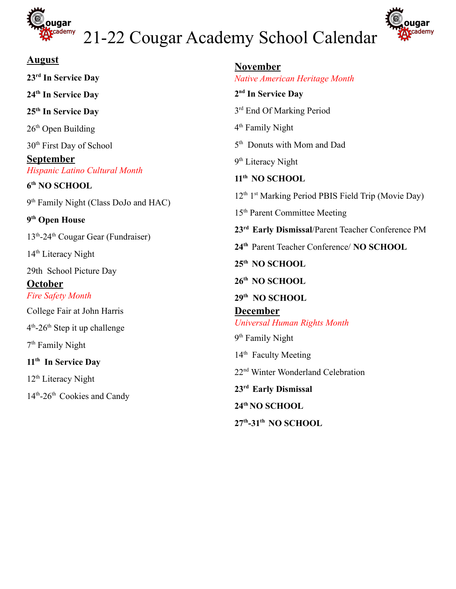

# 21-22 Cougar Academy School Calendar



| <b>August</b>                                                                   | <b>November</b>                                                                                                    |
|---------------------------------------------------------------------------------|--------------------------------------------------------------------------------------------------------------------|
| 23 <sup>rd</sup> In Service Day                                                 | Native American Heritage Month                                                                                     |
| 24th In Service Day                                                             | 2 <sup>nd</sup> In Service Day                                                                                     |
| 25 <sup>th</sup> In Service Day                                                 | 3 <sup>rd</sup> End Of Marking Period                                                                              |
| $26th$ Open Building                                                            | 4 <sup>th</sup> Family Night                                                                                       |
| 30 <sup>th</sup> First Day of School                                            | 5 <sup>th</sup> Donuts with Mom and Dad                                                                            |
| <u>September</u>                                                                | 9 <sup>th</sup> Literacy Night                                                                                     |
| Hispanic Latino Cultural Month<br>6th NO SCHOOL                                 | 11 <sup>th</sup> NO SCHOOL                                                                                         |
| 9 <sup>th</sup> Family Night (Class DoJo and HAC)<br>9 <sup>th</sup> Open House | 12 <sup>th</sup> 1 <sup>st</sup> Marking Period PBIS Field Trip (Movie Day)                                        |
|                                                                                 | 15th Parent Committee Meeting                                                                                      |
|                                                                                 | 23 <sup>rd</sup> Early Dismissal/Parent Teacher Conference PM                                                      |
| 13 <sup>th</sup> -24 <sup>th</sup> Cougar Gear (Fundraiser)                     | 24th Parent Teacher Conference/ NO SCHOOL                                                                          |
| 14 <sup>th</sup> Literacy Night                                                 | 25th NO SCHOOL                                                                                                     |
| 29th School Picture Day                                                         |                                                                                                                    |
| October                                                                         | 26th NO SCHOOL                                                                                                     |
| <b>Fire Safety Month</b>                                                        | 29th NO SCHOOL                                                                                                     |
| College Fair at John Harris                                                     | <b>December</b>                                                                                                    |
| $4th$ -26 <sup>th</sup> Step it up challenge                                    | <b>Universal Human Rights Month</b>                                                                                |
| 7 <sup>th</sup> Family Night                                                    | 9 <sup>th</sup> Family Night<br>14 <sup>th</sup> Faculty Meeting<br>22 <sup>nd</sup> Winter Wonderland Celebration |
| 11 <sup>th</sup> In Service Day                                                 |                                                                                                                    |
| $12th$ Literacy Night                                                           |                                                                                                                    |
| 14 <sup>th</sup> -26 <sup>th</sup> Cookies and Candy                            | 23rd Early Dismissal                                                                                               |
|                                                                                 | 24 <sup>th</sup> NO SCHOOL                                                                                         |
|                                                                                 | 27th-31th NO SCHOOL                                                                                                |